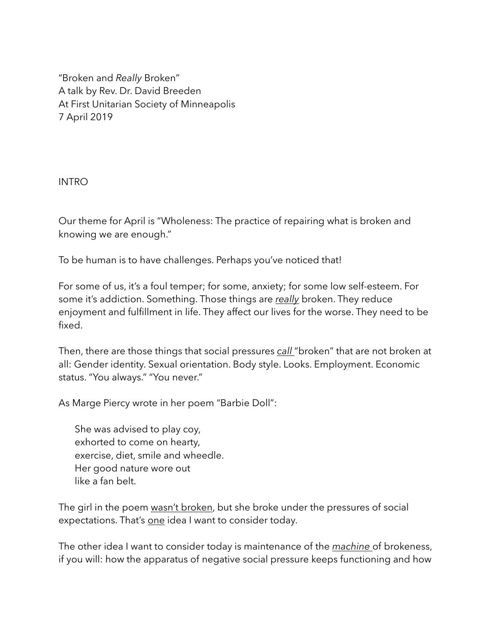"Broken and *Really* Broken" A talk by Rev. Dr. David Breeden At First Unitarian Society of Minneapolis 7 April 2019

INTRO

Our theme for April is "Wholeness: The practice of repairing what is broken and knowing we are enough."

To be human is to have challenges. Perhaps you've noticed that!

For some of us, it's a foul temper; for some, anxiety; for some low self-esteem. For some it's addiction. Something. Those things are *really* broken. They reduce enjoyment and fulfillment in life. They affect our lives for the worse. They need to be fixed.

Then, there are those things that social pressures *call* "broken" that are not broken at all: Gender identity. Sexual orientation. Body style. Looks. Employment. Economic status. "You always." "You never."

As Marge Piercy wrote in her poem "Barbie Doll":

She was advised to play coy, exhorted to come on hearty, exercise, diet, smile and wheedle. Her good nature wore out like a fan belt.

The girl in the poem wasn't broken, but she broke under the pressures of social expectations. That's one idea I want to consider today.

The other idea I want to consider today is maintenance of the *machine* of brokeness, if you will: how the apparatus of negative social pressure keeps functioning and how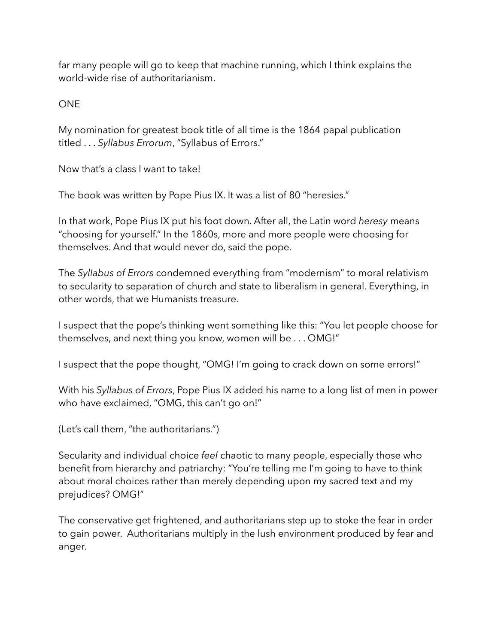far many people will go to keep that machine running, which I think explains the world-wide rise of authoritarianism.

**ONF** 

My nomination for greatest book title of all time is the 1864 papal publication titled . . . *Syllabus Errorum*, "Syllabus of Errors."

Now that's a class I want to take!

The book was written by Pope Pius IX. It was a list of 80 "heresies."

In that work, Pope Pius IX put his foot down. After all, the Latin word *heresy* means "choosing for yourself." In the 1860s, more and more people were choosing for themselves. And that would never do, said the pope.

The *Syllabus of Errors* condemned everything from "modernism" to moral relativism to secularity to separation of church and state to liberalism in general. Everything, in other words, that we Humanists treasure.

I suspect that the pope's thinking went something like this: "You let people choose for themselves, and next thing you know, women will be . . . OMG!"

I suspect that the pope thought, "OMG! I'm going to crack down on some errors!"

With his *Syllabus of Errors*, Pope Pius IX added his name to a long list of men in power who have exclaimed, "OMG, this can't go on!"

(Let's call them, "the authoritarians.")

Secularity and individual choice *feel* chaotic to many people, especially those who benefit from hierarchy and patriarchy: "You're telling me I'm going to have to think about moral choices rather than merely depending upon my sacred text and my prejudices? OMG!"

The conservative get frightened, and authoritarians step up to stoke the fear in order to gain power. Authoritarians multiply in the lush environment produced by fear and anger.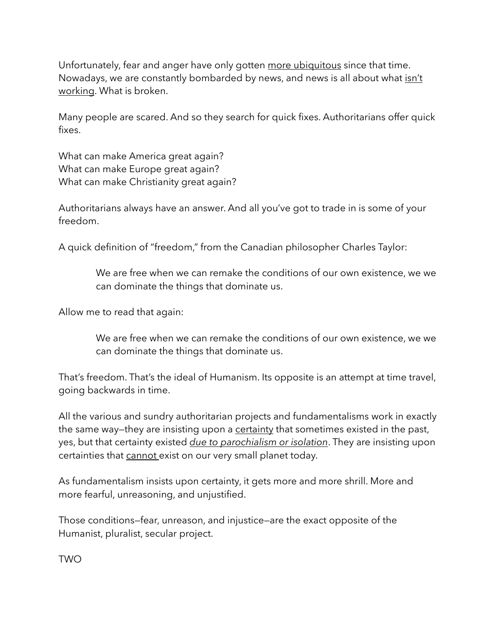Unfortunately, fear and anger have only gotten more ubiquitous since that time. Nowadays, we are constantly bombarded by news, and news is all about what isn't working. What is broken.

Many people are scared. And so they search for quick fixes. Authoritarians offer quick fixes.

What can make America great again? What can make Europe great again? What can make Christianity great again?

Authoritarians always have an answer. And all you've got to trade in is some of your freedom.

A quick definition of "freedom," from the Canadian philosopher Charles Taylor:

We are free when we can remake the conditions of our own existence, we we can dominate the things that dominate us.

Allow me to read that again:

We are free when we can remake the conditions of our own existence, we we can dominate the things that dominate us.

That's freedom. That's the ideal of Humanism. Its opposite is an attempt at time travel, going backwards in time.

All the various and sundry authoritarian projects and fundamentalisms work in exactly the same way—they are insisting upon a certainty that sometimes existed in the past, yes, but that certainty existed *due to parochialism or isolation*. They are insisting upon certainties that cannot exist on our very small planet today.

As fundamentalism insists upon certainty, it gets more and more shrill. More and more fearful, unreasoning, and unjustified.

Those conditions—fear, unreason, and injustice—are the exact opposite of the Humanist, pluralist, secular project.

TWO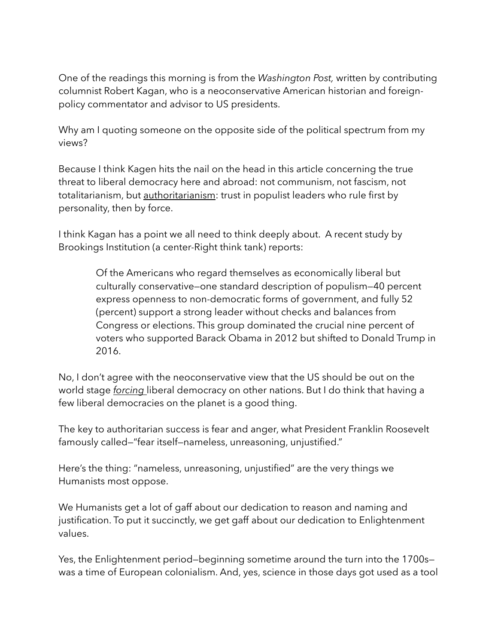One of the readings this morning is from the *Washington Post,* written by contributing columnist Robert Kagan, who is a neoconservative American historian and foreignpolicy commentator and advisor to US presidents.

Why am I quoting someone on the opposite side of the political spectrum from my views?

Because I think Kagen hits the nail on the head in this article concerning the true threat to liberal democracy here and abroad: not communism, not fascism, not totalitarianism, but authoritarianism: trust in populist leaders who rule first by personality, then by force.

I think Kagan has a point we all need to think deeply about. A recent study by Brookings Institution (a center-Right think tank) reports:

> Of the Americans who regard themselves as economically liberal but culturally conservative—one standard description of populism—40 percent express openness to non-democratic forms of government, and fully 52 (percent) support a strong leader without checks and balances from Congress or elections. This group dominated the crucial nine percent of voters who supported Barack Obama in 2012 but shifted to Donald Trump in 2016.

No, I don't agree with the neoconservative view that the US should be out on the world stage *forcing* liberal democracy on other nations. But I do think that having a few liberal democracies on the planet is a good thing.

The key to authoritarian success is fear and anger, what President Franklin Roosevelt famously called—"fear itself—nameless, unreasoning, unjustified."

Here's the thing: "nameless, unreasoning, unjustified" are the very things we Humanists most oppose.

We Humanists get a lot of gaff about our dedication to reason and naming and justification. To put it succinctly, we get gaff about our dedication to Enlightenment values.

Yes, the Enlightenment period—beginning sometime around the turn into the 1700s was a time of European colonialism. And, yes, science in those days got used as a tool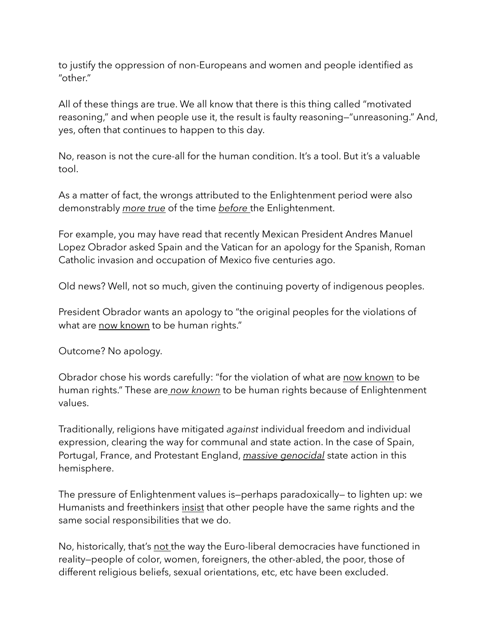to justify the oppression of non-Europeans and women and people identified as "other."

All of these things are true. We all know that there is this thing called "motivated reasoning," and when people use it, the result is faulty reasoning—"unreasoning." And, yes, often that continues to happen to this day.

No, reason is not the cure-all for the human condition. It's a tool. But it's a valuable tool.

As a matter of fact, the wrongs attributed to the Enlightenment period were also demonstrably *more true* of the time *before* the Enlightenment.

For example, you may have read that recently Mexican President Andres Manuel Lopez Obrador asked Spain and the Vatican for an apology for the Spanish, Roman Catholic invasion and occupation of Mexico five centuries ago.

Old news? Well, not so much, given the continuing poverty of indigenous peoples.

President Obrador wants an apology to "the original peoples for the violations of what are now known to be human rights."

Outcome? No apology.

Obrador chose his words carefully: "for the violation of what are now known to be human rights." These are *now known* to be human rights because of Enlightenment values.

Traditionally, religions have mitigated *against* individual freedom and individual expression, clearing the way for communal and state action. In the case of Spain, Portugal, France, and Protestant England, *massive genocidal* state action in this hemisphere.

The pressure of Enlightenment values is—perhaps paradoxically— to lighten up: we Humanists and freethinkers insist that other people have the same rights and the same social responsibilities that we do.

No, historically, that's not the way the Euro-liberal democracies have functioned in reality—people of color, women, foreigners, the other-abled, the poor, those of different religious beliefs, sexual orientations, etc, etc have been excluded.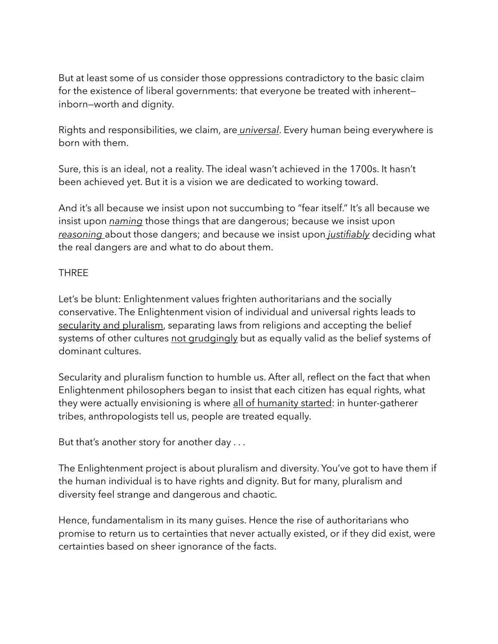But at least some of us consider those oppressions contradictory to the basic claim for the existence of liberal governments: that everyone be treated with inherent inborn—worth and dignity.

Rights and responsibilities, we claim, are *universal*. Every human being everywhere is born with them.

Sure, this is an ideal, not a reality. The ideal wasn't achieved in the 1700s. It hasn't been achieved yet. But it is a vision we are dedicated to working toward.

And it's all because we insist upon not succumbing to "fear itself." It's all because we insist upon *naming* those things that are dangerous; because we insist upon *reasoning* about those dangers; and because we insist upon *justifiably* deciding what the real dangers are and what to do about them.

## THREE

Let's be blunt: Enlightenment values frighten authoritarians and the socially conservative. The Enlightenment vision of individual and universal rights leads to secularity and pluralism, separating laws from religions and accepting the belief systems of other cultures not grudgingly but as equally valid as the belief systems of dominant cultures.

Secularity and pluralism function to humble us. After all, reflect on the fact that when Enlightenment philosophers began to insist that each citizen has equal rights, what they were actually envisioning is where all of humanity started: in hunter-gatherer tribes, anthropologists tell us, people are treated equally.

But that's another story for another day . . .

The Enlightenment project is about pluralism and diversity. You've got to have them if the human individual is to have rights and dignity. But for many, pluralism and diversity feel strange and dangerous and chaotic.

Hence, fundamentalism in its many guises. Hence the rise of authoritarians who promise to return us to certainties that never actually existed, or if they did exist, were certainties based on sheer ignorance of the facts.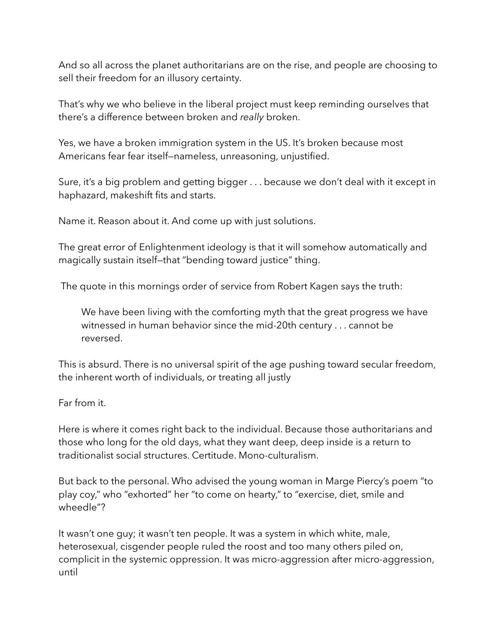And so all across the planet authoritarians are on the rise, and people are choosing to sell their freedom for an illusory certainty.

That's why we who believe in the liberal project must keep reminding ourselves that there's a difference between broken and *really* broken.

Yes, we have a broken immigration system in the US. It's broken because most Americans fear fear itself—nameless, unreasoning, unjustified.

Sure, it's a big problem and getting bigger . . . because we don't deal with it except in haphazard, makeshift fits and starts.

Name it. Reason about it. And come up with just solutions.

The great error of Enlightenment ideology is that it will somehow automatically and magically sustain itself—that "bending toward justice" thing.

The quote in this mornings order of service from Robert Kagen says the truth:

We have been living with the comforting myth that the great progress we have witnessed in human behavior since the mid-20th century . . . cannot be reversed.

This is absurd. There is no universal spirit of the age pushing toward secular freedom, the inherent worth of individuals, or treating all justly

Far from it.

Here is where it comes right back to the individual. Because those authoritarians and those who long for the old days, what they want deep, deep inside is a return to traditionalist social structures. Certitude. Mono-culturalism.

But back to the personal. Who advised the young woman in Marge Piercy's poem "to play coy," who "exhorted" her "to come on hearty," to "exercise, diet, smile and wheedle"?

It wasn't one guy; it wasn't ten people. It was a system in which white, male, heterosexual, cisgender people ruled the roost and too many others piled on, complicit in the systemic oppression. It was micro-aggression after micro-aggression, until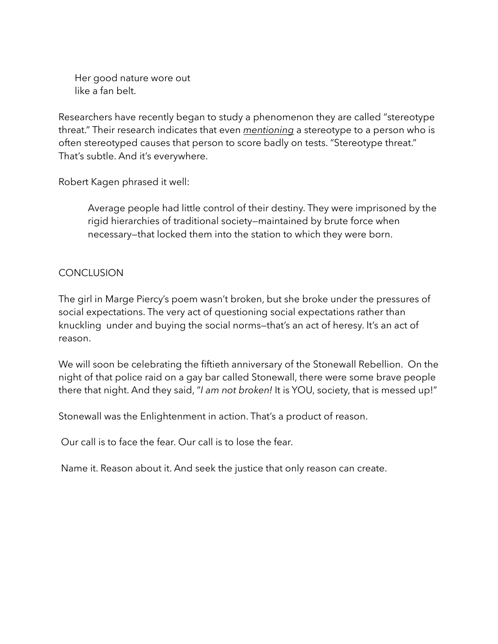Her good nature wore out like a fan belt.

Researchers have recently began to study a phenomenon they are called "stereotype threat." Their research indicates that even *mentioning* a stereotype to a person who is often stereotyped causes that person to score badly on tests. "Stereotype threat." That's subtle. And it's everywhere.

Robert Kagen phrased it well:

Average people had little control of their destiny. They were imprisoned by the rigid hierarchies of traditional society—maintained by brute force when necessary—that locked them into the station to which they were born.

## CONCLUSION

The girl in Marge Piercy's poem wasn't broken, but she broke under the pressures of social expectations. The very act of questioning social expectations rather than knuckling under and buying the social norms—that's an act of heresy. It's an act of reason.

We will soon be celebrating the fiftieth anniversary of the Stonewall Rebellion. On the night of that police raid on a gay bar called Stonewall, there were some brave people there that night. And they said, "*I am not broken!* It is YOU, society, that is messed up!"

Stonewall was the Enlightenment in action. That's a product of reason.

Our call is to face the fear. Our call is to lose the fear.

Name it. Reason about it. And seek the justice that only reason can create.